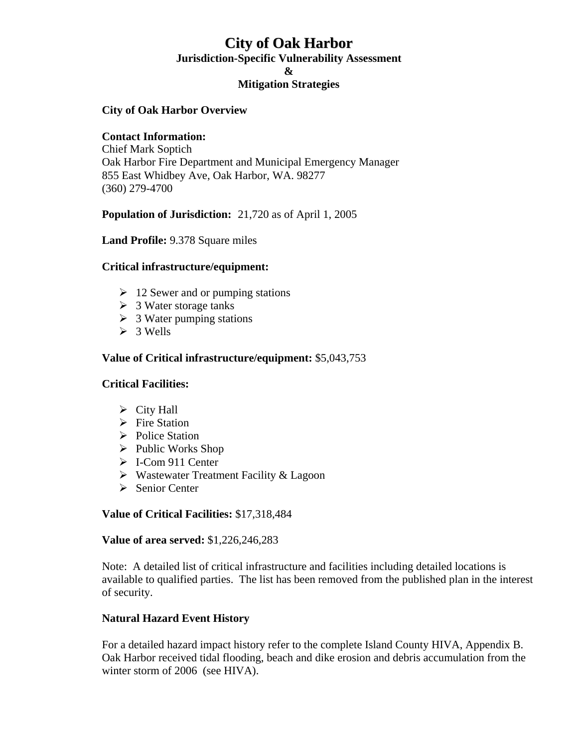# **City of Oak Harbor**

**Jurisdiction-Specific Vulnerability Assessment** 

**&** 

# **Mitigation Strategies**

### **City of Oak Harbor Overview**

#### **Contact Information:**

Chief Mark Soptich Oak Harbor Fire Department and Municipal Emergency Manager 855 East Whidbey Ave, Oak Harbor, WA. 98277 (360) 279-4700

## **Population of Jurisdiction:** 21,720 as of April 1, 2005

**Land Profile:** 9.378 Square miles

#### **Critical infrastructure/equipment:**

- $\geq 12$  Sewer and or pumping stations
- $\triangleright$  3 Water storage tanks
- $\geq$  3 Water pumping stations
- $>$  3 Wells

#### **Value of Critical infrastructure/equipment:** \$5,043,753

#### **Critical Facilities:**

- $\triangleright$  City Hall
- $\triangleright$  Fire Station
- **►** Police Station
- $\triangleright$  Public Works Shop
- ¾ I-Com 911 Center
- $\triangleright$  Wastewater Treatment Facility & Lagoon
- $\triangleright$  Senior Center

#### **Value of Critical Facilities:** \$17,318,484

#### **Value of area served:** \$1,226,246,283

Note: A detailed list of critical infrastructure and facilities including detailed locations is available to qualified parties. The list has been removed from the published plan in the interest of security.

## **Natural Hazard Event History**

 For a detailed hazard impact history refer to the complete Island County HIVA, Appendix B. Oak Harbor received tidal flooding, beach and dike erosion and debris accumulation from the winter storm of 2006 (see HIVA).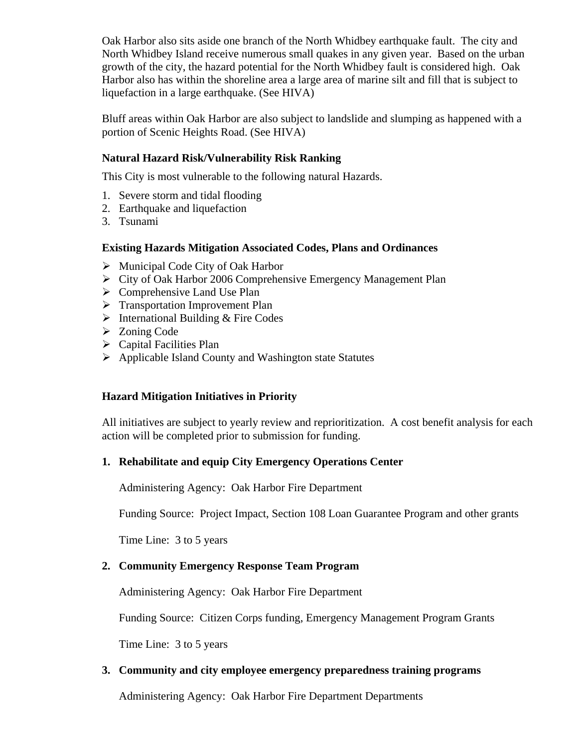Oak Harbor also sits aside one branch of the North Whidbey earthquake fault. The city and North Whidbey Island receive numerous small quakes in any given year. Based on the urban growth of the city, the hazard potential for the North Whidbey fault is considered high. Oak Harbor also has within the shoreline area a large area of marine silt and fill that is subject to liquefaction in a large earthquake. (See HIVA)

Bluff areas within Oak Harbor are also subject to landslide and slumping as happened with a portion of Scenic Heights Road. (See HIVA)

# **Natural Hazard Risk/Vulnerability Risk Ranking**

This City is most vulnerable to the following natural Hazards.

- 1. Severe storm and tidal flooding
- 2. Earthquake and liquefaction
- 3. Tsunami

#### **Existing Hazards Mitigation Associated Codes, Plans and Ordinances**

- $\triangleright$  Municipal Code City of Oak Harbor
- ¾ City of Oak Harbor 2006 Comprehensive Emergency Management Plan
- $\triangleright$  Comprehensive Land Use Plan
- $\triangleright$  Transportation Improvement Plan
- $\triangleright$  International Building & Fire Codes
- $\triangleright$  Zoning Code
- $\triangleright$  Capital Facilities Plan
- ¾ Applicable Island County and Washington state Statutes

## **Hazard Mitigation Initiatives in Priority**

 All initiatives are subject to yearly review and reprioritization. A cost benefit analysis for each action will be completed prior to submission for funding.

## **1. Rehabilitate and equip City Emergency Operations Center**

Administering Agency: Oak Harbor Fire Department

Funding Source: Project Impact, Section 108 Loan Guarantee Program and other grants

Time Line: 3 to 5 years

# **2. Community Emergency Response Team Program**

Administering Agency: Oak Harbor Fire Department

Funding Source: Citizen Corps funding, Emergency Management Program Grants

Time Line: 3 to 5 years

## **3. Community and city employee emergency preparedness training programs**

Administering Agency: Oak Harbor Fire Department Departments